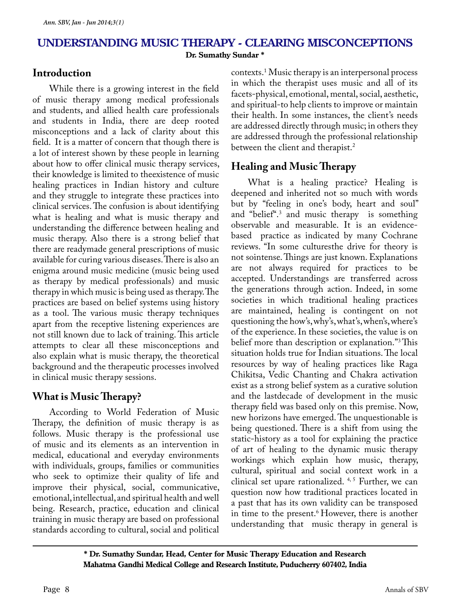## **Understanding music therapy - Clearing misconceptions Dr. Sumathy Sundar \***

## **Introduction**

While there is a growing interest in the field of music therapy among medical professionals and students, and allied health care professionals and students in India, there are deep rooted misconceptions and a lack of clarity about this field. It is a matter of concern that though there is a lot of interest shown by these people in learning about how to offer clinical music therapy services, their knowledge is limited to theexistence of music healing practices in Indian history and culture and they struggle to integrate these practices into clinical services. The confusion is about identifying what is healing and what is music therapy and understanding the difference between healing and music therapy. Also there is a strong belief that there are readymade general prescriptions of music available for curing various diseases. There is also an enigma around music medicine (music being used as therapy by medical professionals) and music therapy in which music is being used as therapy. The practices are based on belief systems using history as a tool. The various music therapy techniques apart from the receptive listening experiences are not still known due to lack of training. This article attempts to clear all these misconceptions and also explain what is music therapy, the theoretical background and the therapeutic processes involved in clinical music therapy sessions.

## **What is Music Therapy?**

According to World Federation of Music Therapy, the definition of music therapy is as follows. Music therapy is the professional use of music and its elements as an intervention in medical, educational and everyday environments with individuals, groups, families or communities who seek to optimize their quality of life and improve their physical, social, communicative, emotional, intellectual, and spiritual health and well being. Research, practice, education and clinical training in music therapy are based on professional standards according to cultural, social and political

contexts.1 Music therapy is an interpersonal process in which the therapist uses music and all of its facets-physical, emotional, mental, social, aesthetic, and spiritual-to help clients to improve or maintain their health. In some instances, the client's needs are addressed directly through music; in others they are addressed through the professional relationship between the client and therapist.<sup>2</sup>

# **Healing and Music Therapy**

What is a healing practice? Healing is deepened and inherited not so much with words but by "feeling in one's body, heart and soul" and "belief".<sup>3</sup> and music therapy is something observable and measurable. It is an evidencebased practice as indicated by many Cochrane reviews. "In some culturesthe drive for theory is not sointense. Things are just known. Explanations are not always required for practices to be accepted. Understandings are transferred across the generations through action. Indeed, in some societies in which traditional healing practices are maintained, healing is contingent on not questioning the how's, why's, what's, when's, where's of the experience. In these societies, the value is on belief more than description or explanation."3 This situation holds true for Indian situations. The local resources by way of healing practices like Raga Chikitsa, Vedic Chanting and Chakra activation exist as a strong belief system as a curative solution and the lastdecade of development in the music therapy field was based only on this premise. Now, new horizons have emerged. The unquestionable is being questioned. There is a shift from using the static-history as a tool for explaining the practice of art of healing to the dynamic music therapy workings which explain how music, therapy, cultural, spiritual and social context work in a clinical set upare rationalized. 4,5 Further, we can question now how traditional practices located in a past that has its own validity can be transposed in time to the present.<sup>6</sup> However, there is another understanding that music therapy in general is

**\* Dr. Sumathy Sundar, Head, Center for Music Therapy Education and Research Mahatma Gandhi Medical College and Research Institute, Puducherry 607402, India**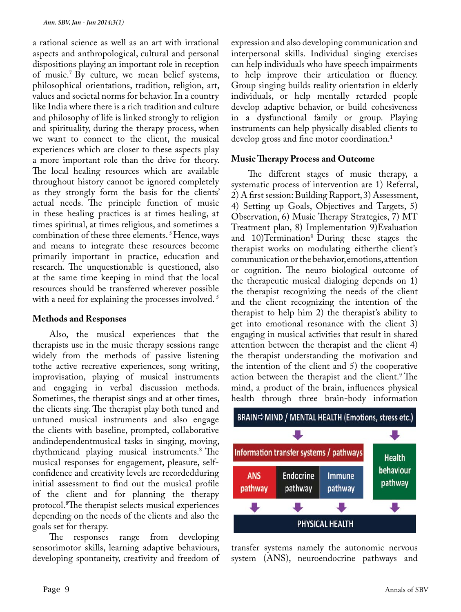a rational science as well as an art with irrational aspects and anthropological, cultural and personal dispositions playing an important role in reception of music.7 By culture, we mean belief systems, philosophical orientations, tradition, religion, art, values and societal norms for behavior. In a country like India where there is a rich tradition and culture and philosophy of life is linked strongly to religion and spirituality, during the therapy process, when we want to connect to the client, the musical experiences which are closer to these aspects play a more important role than the drive for theory. The local healing resources which are available throughout history cannot be ignored completely as they strongly form the basis for the clients' actual needs. The principle function of music in these healing practices is at times healing, at times spiritual, at times religious, and sometimes a combination of these three elements. 5 Hence, ways and means to integrate these resources become primarily important in practice, education and research. The unquestionable is questioned, also at the same time keeping in mind that the local resources should be transferred wherever possible with a need for explaining the processes involved.<sup>5</sup>

#### **Methods and Responses**

Also, the musical experiences that the therapists use in the music therapy sessions range widely from the methods of passive listening tothe active recreative experiences, song writing, improvisation, playing of musical instruments and engaging in verbal discussion methods. Sometimes, the therapist sings and at other times, the clients sing. The therapist play both tuned and untuned musical instruments and also engage the clients with baseline, prompted, collaborative andindependentmusical tasks in singing, moving, rhythmicand playing musical instruments.8 The musical responses for engagement, pleasure, selfconfidence and creativity levels are recordedduring initial assessment to find out the musical profile of the client and for planning the therapy protocol.8 The therapist selects musical experiences depending on the needs of the clients and also the goals set for therapy.

The responses range from developing sensorimotor skills, learning adaptive behaviours, developing spontaneity, creativity and freedom of expression and also developing communication and interpersonal skills. Individual singing exercises can help individuals who have speech impairments to help improve their articulation or fluency. Group singing builds reality orientation in elderly individuals, or help mentally retarded people develop adaptive behavior, or build cohesiveness in a dysfunctional family or group. Playing instruments can help physically disabled clients to develop gross and fine motor coordination.<sup>1</sup>

#### **Music Therapy Process and Outcome**

The different stages of music therapy, a systematic process of intervention are 1) Referral, 2) A first session: Building Rapport, 3) Assessment, 4) Setting up Goals, Objectives and Targets, 5) Observation, 6) Music Therapy Strategies, 7) MT Treatment plan, 8) Implementation 9)Evaluation and 10)Termination<sup>8</sup> During these stages the therapist works on modulating eitherthe client's communication or the behavior, emotions, attention or cognition. The neuro biological outcome of the therapeutic musical dialoging depends on 1) the therapist recognizing the needs of the client and the client recognizing the intention of the therapist to help him 2) the therapist's ability to get into emotional resonance with the client 3) engaging in musical activities that result in shared attention between the therapist and the client 4) the therapist understanding the motivation and the intention of the client and 5) the cooperative action between the therapist and the client.<sup>9</sup> The mind, a product of the brain, influences physical health through three brain-body information



transfer systems namely the autonomic nervous system (ANS), neuroendocrine pathways and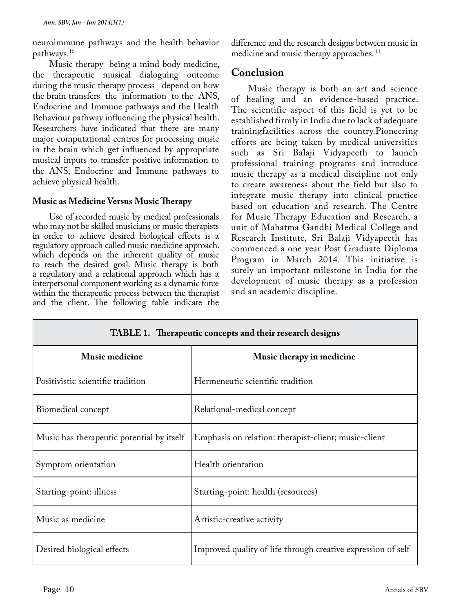neuroimmune pathways and the health behavior pathways.10

Music therapy being a mind body medicine, the therapeutic musical dialoguing outcome during the music therapy process depend on how the brain transfers the information to the ANS, Endocrine and Immune pathways and the Health Behaviour pathway influencing the physical health. Researchers have indicated that there are many major computational centres for processing music in the brain which get influenced by appropriate musical inputs to transfer positive information to the ANS, Endocrine and Immune pathways to achieve physical health.

#### **Music as Medicine Versus Music Therapy**

Use of recorded music by medical professionals who may not be skilled musicians or music therapists in order to achieve desired biological effects is a regulatory approach called music medicine approach. which depends on the inherent quality of music to reach the desired goal. Music therapy is both a regulatory and a relational approach which has a interpersonal component working as a dynamic force within the therapeutic process between the therapist and the client. The following table indicate the

difference and the research designs between music in medicine and music therapy approaches.<sup>11</sup>

### **Conclusion**

Music therapy is both an art and science of healing and an evidence-based practice. The scientific aspect of this field is yet to be established firmly in India due to lack of adequate trainingfacilities across the country.Pioneering efforts are being taken by medical universities such as Sri Balaji Vidyapeeth to launch professional training programs and introduce music therapy as a medical discipline not only to create awareness about the field but also to integrate music therapy into clinical practice based on education and research. The Centre for Music Therapy Education and Research, a unit of Mahatma Gandhi Medical College and Research Institute, Sri Balaji Vidyapeeth has commenced a one year Post Graduate Diploma Program in March 2014. This initiative is surely an important milestone in India for the development of music therapy as a profession and an academic discipline.

| <b>TABLE 1.</b> Inerapeutic concepts and their research designs |                                                              |
|-----------------------------------------------------------------|--------------------------------------------------------------|
| <b>Music medicine</b>                                           | Music therapy in medicine                                    |
| Positivistic scientific tradition                               | Hermeneutic scientific tradition                             |
| Biomedical concept                                              | Relational-medical concept                                   |
| Music has therapeutic potential by itself                       | Emphasis on relation: therapist-client; music-client         |
| Symptom orientation                                             | Health orientation                                           |
| Starting-point: illness                                         | Starting-point: health (resources)                           |
| Music as medicine                                               | Artistic-creative activity                                   |
| Desired biological effects                                      | Improved quality of life through creative expression of self |